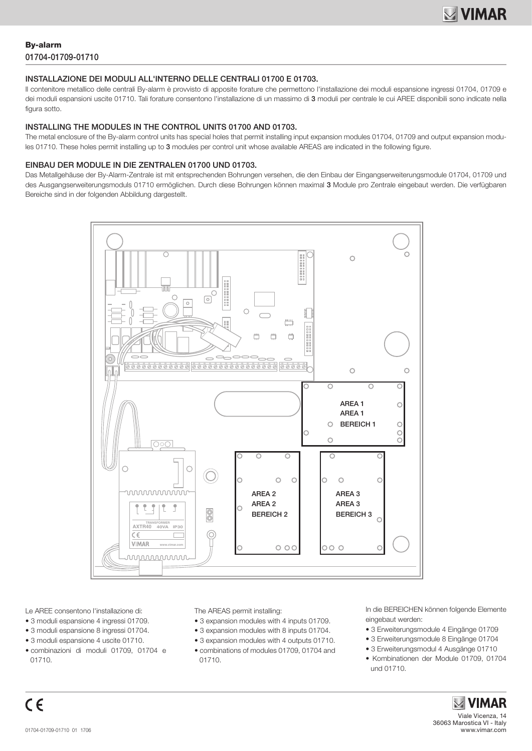# By-alarm 01704-01709-01710

### INSTALLAZIONE DEI MODULI ALL'INTERNO DELLE CENTRALI 01700 E 01703.

Il contenitore metallico delle centrali By-alarm è provvisto di apposite forature che permettono l'installazione dei moduli espansione ingressi 01704, 01709 e dei moduli espansioni uscite 01710. Tali forature consentono l'installazione di un massimo di 3 moduli per centrale le cui AREE disponibili sono indicate nella figura sotto.

#### INSTALLING THE MODULES IN THE CONTROL UNITS 01700 AND 01703.

The metal enclosure of the By-alarm control units has special holes that permit installing input expansion modules 01704, 01709 and output expansion modules 01710. These holes permit installing up to 3 modules per control unit whose available AREAS are indicated in the following figure.

### EINBAU DER MODULE IN DIE ZENTRALEN 01700 UND 01703.

Das Metallgehäuse der By-Alarm-Zentrale ist mit entsprechenden Bohrungen versehen, die den Einbau der Eingangserweiterungsmodule 01704, 01709 und des Ausgangserweiterungsmoduls 01710 ermöglichen. Durch diese Bohrungen können maximal 3 Module pro Zentrale eingebaut werden. Die verfügbaren Bereiche sind in der folgenden Abbildung dargestellt.



Le AREE consentono l'installazione di:

- 3 moduli espansione 4 ingressi 01709.
- 3 moduli espansione 8 ingressi 01704.
- 3 moduli espansione 4 uscite 01710.
- combinazioni di moduli 01709, 01704 e 01710.

The AREAS permit installing:

- 3 expansion modules with 4 inputs 01709.
- 3 expansion modules with 8 inputs 01704.
- 3 expansion modules with 4 outputs 01710.
- combinations of modules 01709, 01704 and 01710.

In die BEREICHEN können folgende Elemente eingebaut werden:

- 3 Erweiterungsmodule 4 Eingänge 01709
- 3 Erweiterungsmodule 8 Eingänge 01704
- 3 Erweiterungsmodul 4 Ausgänge 01710
- Kombinationen der Module 01709, 01704 und 01710.

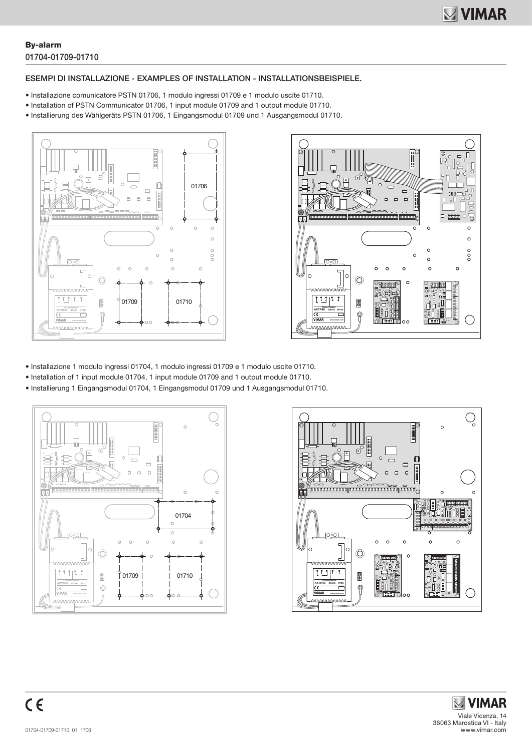### By-alarm 01704-01709-01710

### ESEMPI DI INSTALLAZIONE - EXAMPLES OF INSTALLATION - INSTALLATIONSBEISPIELE.

- Installazione comunicatore PSTN 01706, 1 modulo ingressi 01709 e 1 modulo uscite 01710.
- Installation of PSTN Communicator 01706, 1 input module 01709 and 1 output module 01710.
- Installierung des Wählgeräts PSTN 01706, 1 Eingangsmodul 01709 und 1 Ausgangsmodul 01710.





- Installazione 1 modulo ingressi 01704, 1 modulo ingressi 01709 e 1 modulo uscite 01710.
- Installation of 1 input module 01704, 1 input module 01709 and 1 output module 01710.
- Installierung 1 Eingangsmodul 01704, 1 Eingangsmodul 01709 und 1 Ausgangsmodul 01710.